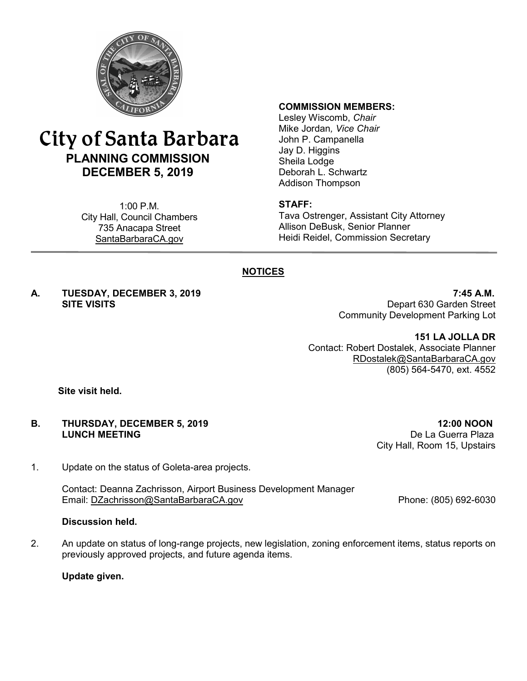

# City of Santa Barbara **PLANNING COMMISSION DECEMBER 5, 2019**

1:00 P.M. City Hall, Council Chambers 735 Anacapa Street SantaBarbaraCA.gov

#### **COMMISSION MEMBERS:**

Lesley Wiscomb, *Chair* Mike Jordan*, Vice Chair* John P. Campanella Jay D. Higgins Sheila Lodge Deborah L. Schwartz Addison Thompson

#### **STAFF:**

Tava Ostrenger, Assistant City Attorney Allison DeBusk, Senior Planner Heidi Reidel, Commission Secretary

## **NOTICES**

**A. TUESDAY, DECEMBER 3, 2019 7:45 A.M.**

**SITE VISITS** Depart 630 Garden Street Community Development Parking Lot

> **151 LA JOLLA DR** Contact: Robert Dostalek, Associate Planner [RDostalek@SantaBarbaraCA.gov](mailto:RDostalek@SantaBarbaraCA.gov) (805) 564-5470, ext. 4552

**Site visit held.**

#### **B. THURSDAY, DECEMBER 5, 2019 12:00 NOON LUNCH MEETING** De La Guerra Plaza

1. Update on the status of Goleta-area projects.

Contact: Deanna Zachrisson, Airport Business Development Manager Email: [DZachrisson@SantaBarbaraCA.gov](mailto:DZachrisson@SantaBarbaraCA.gov) Phone: (805) 692-6030

#### **Discussion held.**

2. An update on status of long-range projects, new legislation, zoning enforcement items, status reports on previously approved projects, and future agenda items.

**Update given.**

City Hall, Room 15, Upstairs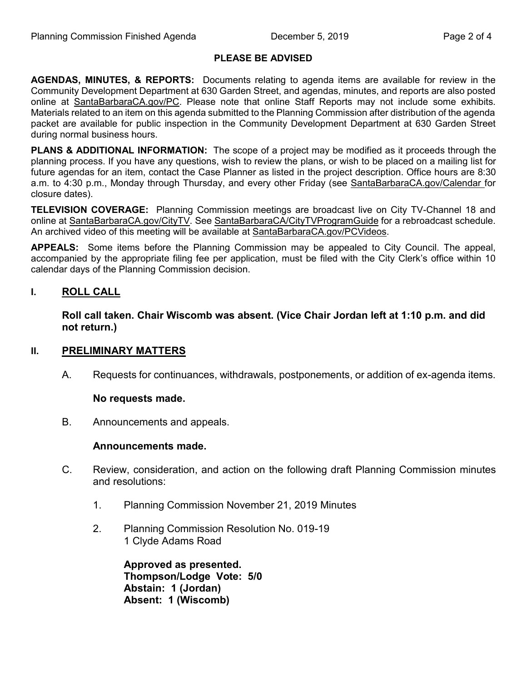## **PLEASE BE ADVISED**

**AGENDAS, MINUTES, & REPORTS:** Documents relating to agenda items are available for review in the Community Development Department at 630 Garden Street, and agendas, minutes, and reports are also posted online at [SantaBarbaraCA.gov/PC](http://www.santabarbaraca.gov/PC). Please note that online Staff Reports may not include some exhibits. Materials related to an item on this agenda submitted to the Planning Commission after distribution of the agenda packet are available for public inspection in the Community Development Department at 630 Garden Street during normal business hours.

**PLANS & ADDITIONAL INFORMATION:** The scope of a project may be modified as it proceeds through the planning process. If you have any questions, wish to review the plans, or wish to be placed on a mailing list for future agendas for an item, contact the Case Planner as listed in the project description. Office hours are 8:30 a.m. to 4:30 p.m., Monday through Thursday, and every other Friday (see [SantaBarbaraCA.gov/Calendar](http://www.santabarbaraca.gov/cals/default.asp) for closure dates).

**TELEVISION COVERAGE:** Planning Commission meetings are broadcast live on City TV-Channel 18 and online at [SantaBarbaraCA.gov/CityTV.](http://www.santabarbaraca.gov/CityTV) See [SantaBarbaraCA/CityTVProgramGuide](http://www.santabarbaraca.gov/gov/depts/cityadmin/programming.asp) for a rebroadcast schedule. An archived video of this meeting will be available at [SantaBarbaraCA.gov/PCVideos](http://www.santabarbaraca.gov/PCVideos).

**APPEALS:** Some items before the Planning Commission may be appealed to City Council. The appeal, accompanied by the appropriate filing fee per application, must be filed with the City Clerk's office within 10 calendar days of the Planning Commission decision.

## **I. ROLL CALL**

**Roll call taken. Chair Wiscomb was absent. (Vice Chair Jordan left at 1:10 p.m. and did not return.)**

## **II. PRELIMINARY MATTERS**

A. Requests for continuances, withdrawals, postponements, or addition of ex-agenda items.

#### **No requests made.**

B. Announcements and appeals.

#### **Announcements made.**

- C. Review, consideration, and action on the following draft Planning Commission minutes and resolutions:
	- 1. Planning Commission November 21, 2019 Minutes
	- 2. Planning Commission Resolution No. 019-19 1 Clyde Adams Road

**Approved as presented. Thompson/Lodge Vote: 5/0 Abstain: 1 (Jordan) Absent: 1 (Wiscomb)**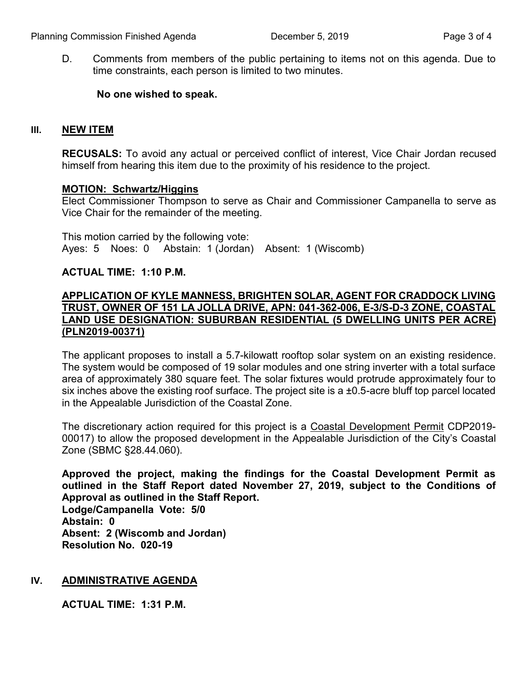D. Comments from members of the public pertaining to items not on this agenda. Due to time constraints, each person is limited to two minutes.

## **No one wished to speak.**

## **III. NEW ITEM**

**RECUSALS:** To avoid any actual or perceived conflict of interest, Vice Chair Jordan recused himself from hearing this item due to the proximity of his residence to the project.

#### **MOTION: Schwartz/Higgins**

Elect Commissioner Thompson to serve as Chair and Commissioner Campanella to serve as Vice Chair for the remainder of the meeting.

This motion carried by the following vote: Ayes: 5 Noes: 0 Abstain: 1 (Jordan) Absent: 1 (Wiscomb)

## **ACTUAL TIME: 1:10 P.M.**

## **APPLICATION OF KYLE MANNESS, BRIGHTEN SOLAR, AGENT FOR CRADDOCK LIVING TRUST, OWNER OF 151 LA JOLLA DRIVE, APN: 041-362-006, E-3/S-D-3 ZONE, COASTAL LAND USE DESIGNATION: SUBURBAN RESIDENTIAL (5 DWELLING UNITS PER ACRE) (PLN2019-00371)**

The applicant proposes to install a 5.7-kilowatt rooftop solar system on an existing residence. The system would be composed of 19 solar modules and one string inverter with a total surface area of approximately 380 square feet. The solar fixtures would protrude approximately four to six inches above the existing roof surface. The project site is a ±0.5-acre bluff top parcel located in the Appealable Jurisdiction of the Coastal Zone.

The discretionary action required for this project is a Coastal Development Permit CDP2019- 00017) to allow the proposed development in the Appealable Jurisdiction of the City's Coastal Zone (SBMC §28.44.060).

**Approved the project, making the findings for the Coastal Development Permit as outlined in the Staff Report dated November 27, 2019, subject to the Conditions of Approval as outlined in the Staff Report.**

**Lodge/Campanella Vote: 5/0 Abstain: 0 Absent: 2 (Wiscomb and Jordan) Resolution No. 020-19**

## **IV. ADMINISTRATIVE AGENDA**

**ACTUAL TIME: 1:31 P.M.**